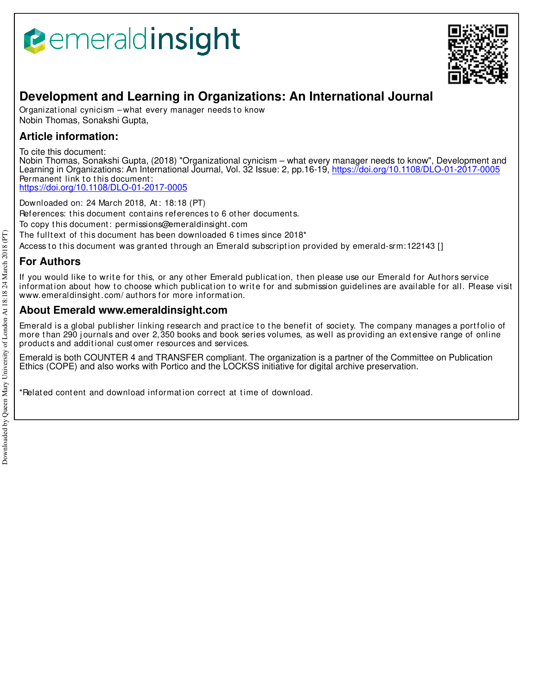# **Bemeraldinsight**



# **Development and Learning in Organizations: An International Journal**

Organizational cynicism - what every manager needs to know Nobin Thomas, Sonakshi Gupta,

## **Article information:**

To cite this document:

Nobin Thomas, Sonakshi Gupta, (2018) "Organizational cynicism – what every manager needs to know", Development and Learning in Organizations: An International Journal, Vol. 32 Issue: 2, pp.16-19, https://doi.org/10.1108/DLO-01-2017-0005 Permanent link to this document:

https://doi.org/10.1108/DLO-01-2017-0005

Downloaded on: 24 March 2018, At : 18:18 (PT) References: this document contains references to 6 other documents. To copy t his document : permissions@emeraldinsight .com

The fulltext of this document has been downloaded 6 times since 2018\*

Access to this document was granted through an Emerald subscription provided by emerald-srm:122143 []

# **For Authors**

If you would like to write for this, or any other Emerald publication, then please use our Emerald for Authors service information about how to choose which publication to write for and submission guidelines are available for all. Please visit www.emeraldinsight.com/ authors for more information.

### **About Emerald www.emeraldinsight.com**

Emerald is a global publisher linking research and practice to the benefit of society. The company manages a portfolio of more than 290 journals and over 2,350 books and book series volumes, as well as providing an extensive range of online products and additional customer resources and services.

Emerald is both COUNTER 4 and TRANSFER compliant. The organization is a partner of the Committee on Publication Ethics (COPE) and also works with Portico and the LOCKSS initiative for digital archive preservation.

\*Relat ed cont ent and download informat ion correct at t ime of download.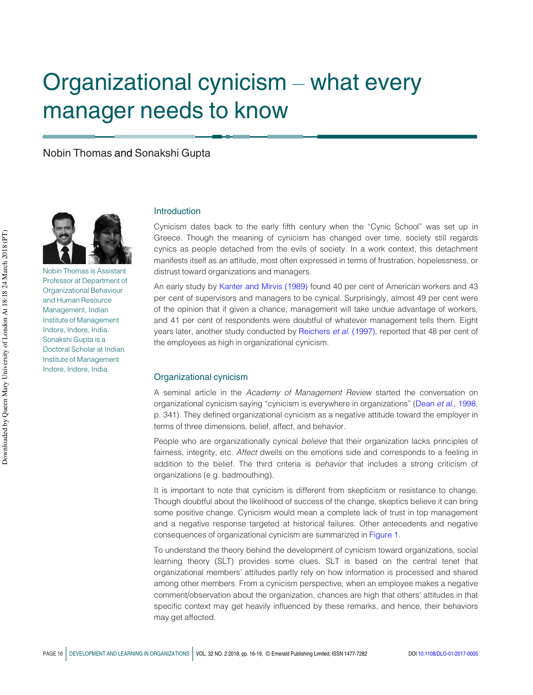# Organizational cynicism – what every manager needs to know

Nobin Thomas and Sonakshi Gupta



Nobin Thomas is Assistant Professor at Department of Organizational Behaviour and Human Resource Management, Indian Institute of Management Indore, Indore, India. Sonakshi Gupta is a Doctoral Scholar at Indian Institute of Management Indore, Indore, India.

#### Introduction

Cynicism dates back to the early fifth century when the "Cynic School" was set up in Greece. Though the meaning of cynicism has changed over time, society still regards cynics as people detached from the evils of society. In a work context, this detachment manifests itself as an attitude, most often expressed in terms of frustration, hopelessness, or distrust toward organizations and managers.

An early study by Kanter and Mirvis (1989) found 40 per cent of American workers and 43 per cent of supervisors and managers to be cynical. Surprisingly, almost 49 per cent were of the opinion that if given a chance, management will take undue advantage of workers, and 41 per cent of respondents were doubtful of whatever management tells them. Eight years later, another study conducted by Reichers *et al.* (1997), reported that 48 per cent of the employees as high in organizational cynicism.

#### Organizational cynicism

A seminal article in the *Academy of Management Review* started the conversation on organizational cynicism saying "cynicism is everywhere in organizations" (Dean *et al.*, 1998, p. 341). They defined organizational cynicism as a negative attitude toward the employer in terms of three dimensions, belief, affect, and behavior.

People who are organizationally cynical *believe* that their organization lacks principles of fairness, integrity, etc. *Affect* dwells on the emotions side and corresponds to a feeling in addition to the belief. The third criteria is *behavior* that includes a strong criticism of organizations (e.g. badmouthing).

It is important to note that cynicism is different from skepticism or resistance to change. Though doubtful about the likelihood of success of the change, skeptics believe it can bring some positive change. Cynicism would mean a complete lack of trust in top management and a negative response targeted at historical failures. Other antecedents and negative consequences of organizational cynicism are summarized in Figure 1.

To understand the theory behind the development of cynicism toward organizations, social learning theory (SLT) provides some clues. SLT is based on the central tenet that organizational members' attitudes partly rely on how information is processed and shared among other members. From a cynicism perspective, when an employee makes a negative comment/observation about the organization, chances are high that others' attitudes in that specific context may get heavily influenced by these remarks, and hence, their behaviors may get affected.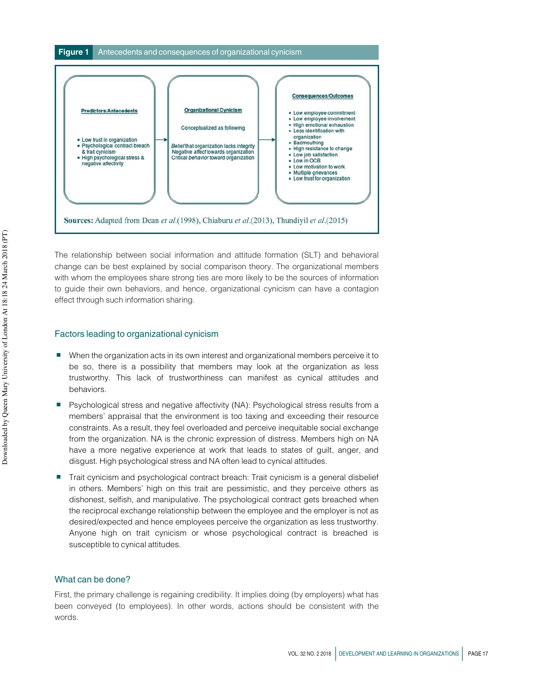

The relationship between social information and attitude formation (SLT) and behavioral change can be best explained by social comparison theory. The organizational members with whom the employees share strong ties are more likely to be the sources of information to guide their own behaviors, and hence, organizational cynicism can have a contagion effect through such information sharing.

#### Factors leading to organizational cynicism

- When the organization acts in its own interest and organizational members perceive it to be so, there is a possibility that members may look at the organization as less trustworthy. This lack of trustworthiness can manifest as cynical attitudes and behaviors.
- Psychological stress and negative affectivity (NA): Psychological stress results from a members' appraisal that the environment is too taxing and exceeding their resource constraints. As a result, they feel overloaded and perceive inequitable social exchange from the organization. NA is the chronic expression of distress. Members high on NA have a more negative experience at work that leads to states of guilt, anger, and disgust. High psychological stress and NA often lead to cynical attitudes.
- Trait cynicism and psychological contract breach: Trait cynicism is a general disbelief in others. Members' high on this trait are pessimistic, and they perceive others as dishonest, selfish, and manipulative. The psychological contract gets breached when the reciprocal exchange relationship between the employee and the employer is not as desired/expected and hence employees perceive the organization as less trustworthy. Anyone high on trait cynicism or whose psychological contract is breached is susceptible to cynical attitudes.

#### What can be done?

First, the primary challenge is regaining credibility. It implies doing (by employers) what has been conveyed (to employees). In other words, actions should be consistent with the words.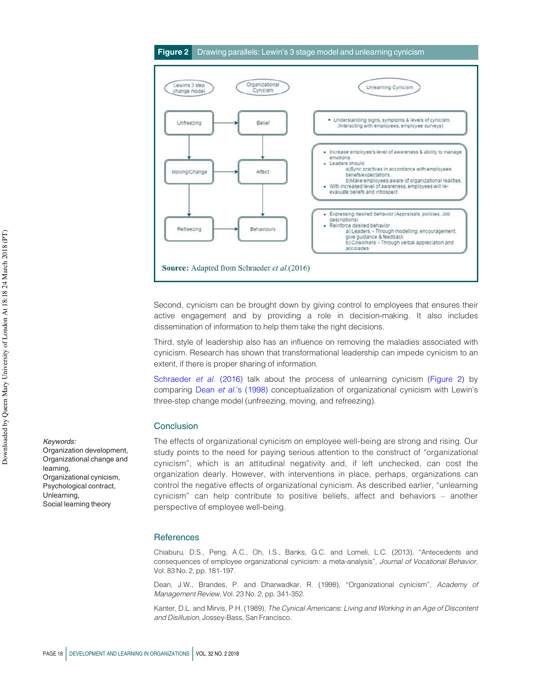#### Figure 2 Drawing parallels: Lewin's 3 stage model and unlearning cynicism



Second, cynicism can be brought down by giving control to employees that ensures their active engagement and by providing a role in decision-making. It also includes dissemination of information to help them take the right decisions.

Third, style of leadership also has an influence on removing the maladies associated with cynicism. Research has shown that transformational leadership can impede cynicism to an extent, if there is proper sharing of information.

Schraeder *et al.* (2016) talk about the process of unlearning cynicism (Figure 2) by comparing Dean *et al.*'s (1998) conceptualization of organizational cynicism with Lewin's three-step change model (unfreezing, moving, and refreezing).

#### **Conclusion**

The effects of organizational cynicism on employee well-being are strong and rising. Our study points to the need for paying serious attention to the construct of "organizational cynicism", which is an attitudinal negativity and, if left unchecked, can cost the organization dearly. However, with interventions in place, perhaps, organizations can control the negative effects of organizational cynicism. As described earlier, "unlearning cynicism" can help contribute to positive beliefs, affect and behaviors – another perspective of employee well-being.

#### **References**

Chiaburu, D.S., Peng, A.C., Oh, I.S., Banks, G.C. and Lomeli, L.C. (2013), "Antecedents and consequences of employee organizational cynicism: a meta-analysis", *Journal of Vocational Behavior*, Vol. 83 No. 2, pp. 181-197.

Dean, J.W., Brandes, P. and Dharwadkar, R. (1998), "Organizational cynicism", *Academy of Management Review*, Vol. 23 No. 2, pp. 341-352.

Kanter, D.L. and Mirvis, P.H. (1989), *The Cynical Americans: Living and Working in an Age of Discontent and Disillusion*, Jossey-Bass, San Francisco.

Downloaded by Queen Mary University of London At 18:18 24 March 2018 (PT) Downloaded by Queen Mary University of London At 18:18 24 March 2018 (PT)

Keywords: Organization development, Organizational change and learning, Organizational cynicism, Psychological contract, Unlearning, Social learning theory